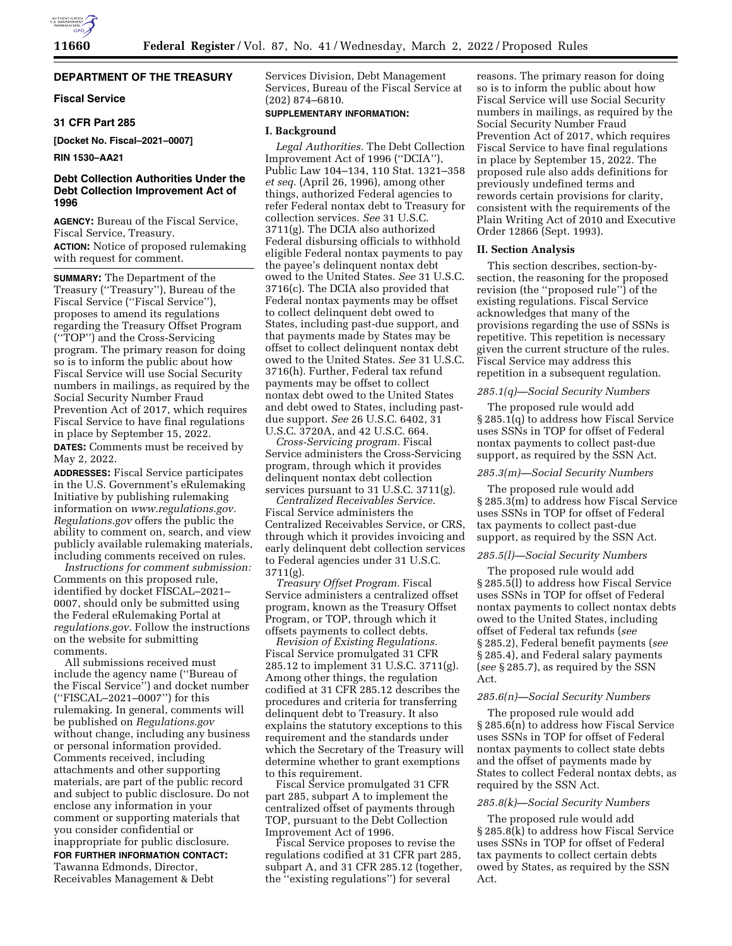# **DEPARTMENT OF THE TREASURY**

# **Fiscal Service**

#### **31 CFR Part 285**

**[Docket No. Fiscal–2021–0007]** 

# **RIN 1530–AA21**

# **Debt Collection Authorities Under the Debt Collection Improvement Act of 1996**

**AGENCY:** Bureau of the Fiscal Service, Fiscal Service, Treasury. **ACTION:** Notice of proposed rulemaking with request for comment.

**SUMMARY:** The Department of the Treasury (''Treasury''), Bureau of the Fiscal Service (''Fiscal Service''), proposes to amend its regulations regarding the Treasury Offset Program (''TOP'') and the Cross-Servicing program. The primary reason for doing so is to inform the public about how Fiscal Service will use Social Security numbers in mailings, as required by the Social Security Number Fraud Prevention Act of 2017, which requires Fiscal Service to have final regulations in place by September 15, 2022.

**DATES:** Comments must be received by May 2, 2022.

**ADDRESSES:** Fiscal Service participates in the U.S. Government's eRulemaking Initiative by publishing rulemaking information on *[www.regulations.gov.](http://www.regulations.gov)  Regulations.gov* offers the public the ability to comment on, search, and view publicly available rulemaking materials, including comments received on rules.

*Instructions for comment submission:*  Comments on this proposed rule, identified by docket FISCAL–2021– 0007, should only be submitted using the Federal eRulemaking Portal at *regulations.gov*. Follow the instructions on the website for submitting comments.

All submissions received must include the agency name (''Bureau of the Fiscal Service'') and docket number (''FISCAL–2021–0007'') for this rulemaking. In general, comments will be published on *Regulations.gov*  without change, including any business or personal information provided. Comments received, including attachments and other supporting materials, are part of the public record and subject to public disclosure. Do not enclose any information in your comment or supporting materials that you consider confidential or inappropriate for public disclosure.

**FOR FURTHER INFORMATION CONTACT:**  Tawanna Edmonds, Director, Receivables Management & Debt

Services Division, Debt Management Services, Bureau of the Fiscal Service at (202) 874–6810.

#### **SUPPLEMENTARY INFORMATION:**

#### **I. Background**

*Legal Authorities.* The Debt Collection Improvement Act of 1996 (''DCIA''), Public Law 104–134, 110 Stat. 1321–358 *et seq.* (April 26, 1996), among other things, authorized Federal agencies to refer Federal nontax debt to Treasury for collection services. *See* 31 U.S.C. 3711(g). The DCIA also authorized Federal disbursing officials to withhold eligible Federal nontax payments to pay the payee's delinquent nontax debt owed to the United States. *See* 31 U.S.C. 3716(c). The DCIA also provided that Federal nontax payments may be offset to collect delinquent debt owed to States, including past-due support, and that payments made by States may be offset to collect delinquent nontax debt owed to the United States. *See* 31 U.S.C. 3716(h). Further, Federal tax refund payments may be offset to collect nontax debt owed to the United States and debt owed to States, including pastdue support. *See* 26 U.S.C. 6402, 31 U.S.C. 3720A, and 42 U.S.C. 664.

*Cross-Servicing program.* Fiscal Service administers the Cross-Servicing program, through which it provides delinquent nontax debt collection services pursuant to 31 U.S.C. 3711(g).

*Centralized Receivables Service.*  Fiscal Service administers the Centralized Receivables Service, or CRS, through which it provides invoicing and early delinquent debt collection services to Federal agencies under 31 U.S.C. 3711(g).

*Treasury Offset Program.* Fiscal Service administers a centralized offset program, known as the Treasury Offset Program, or TOP, through which it offsets payments to collect debts.

*Revision of Existing Regulations.*  Fiscal Service promulgated 31 CFR 285.12 to implement 31 U.S.C. 3711(g). Among other things, the regulation codified at 31 CFR 285.12 describes the procedures and criteria for transferring delinquent debt to Treasury. It also explains the statutory exceptions to this requirement and the standards under which the Secretary of the Treasury will determine whether to grant exemptions to this requirement.

Fiscal Service promulgated 31 CFR part 285, subpart A to implement the centralized offset of payments through TOP, pursuant to the Debt Collection Improvement Act of 1996.

Fiscal Service proposes to revise the regulations codified at 31 CFR part 285, subpart A, and 31 CFR 285.12 (together, the ''existing regulations'') for several

reasons. The primary reason for doing so is to inform the public about how Fiscal Service will use Social Security numbers in mailings, as required by the Social Security Number Fraud Prevention Act of 2017, which requires Fiscal Service to have final regulations in place by September 15, 2022. The proposed rule also adds definitions for previously undefined terms and rewords certain provisions for clarity, consistent with the requirements of the Plain Writing Act of 2010 and Executive Order 12866 (Sept. 1993).

# **II. Section Analysis**

This section describes, section-bysection, the reasoning for the proposed revision (the ''proposed rule'') of the existing regulations. Fiscal Service acknowledges that many of the provisions regarding the use of SSNs is repetitive. This repetition is necessary given the current structure of the rules. Fiscal Service may address this repetition in a subsequent regulation.

#### *285.1(q)—Social Security Numbers*

The proposed rule would add § 285.1(q) to address how Fiscal Service uses SSNs in TOP for offset of Federal nontax payments to collect past-due support, as required by the SSN Act.

# *285.3(m)—Social Security Numbers*

The proposed rule would add § 285.3(m) to address how Fiscal Service uses SSNs in TOP for offset of Federal tax payments to collect past-due support, as required by the SSN Act.

## *285.5(l)—Social Security Numbers*

The proposed rule would add § 285.5(l) to address how Fiscal Service uses SSNs in TOP for offset of Federal nontax payments to collect nontax debts owed to the United States, including offset of Federal tax refunds (*see*  § 285.2), Federal benefit payments (*see*  § 285.4), and Federal salary payments (*see* § 285.7), as required by the SSN Act.

#### *285.6(n)—Social Security Numbers*

The proposed rule would add § 285.6(n) to address how Fiscal Service uses SSNs in TOP for offset of Federal nontax payments to collect state debts and the offset of payments made by States to collect Federal nontax debts, as required by the SSN Act.

# *285.8(k)—Social Security Numbers*

The proposed rule would add § 285.8(k) to address how Fiscal Service uses SSNs in TOP for offset of Federal tax payments to collect certain debts owed by States, as required by the SSN Act.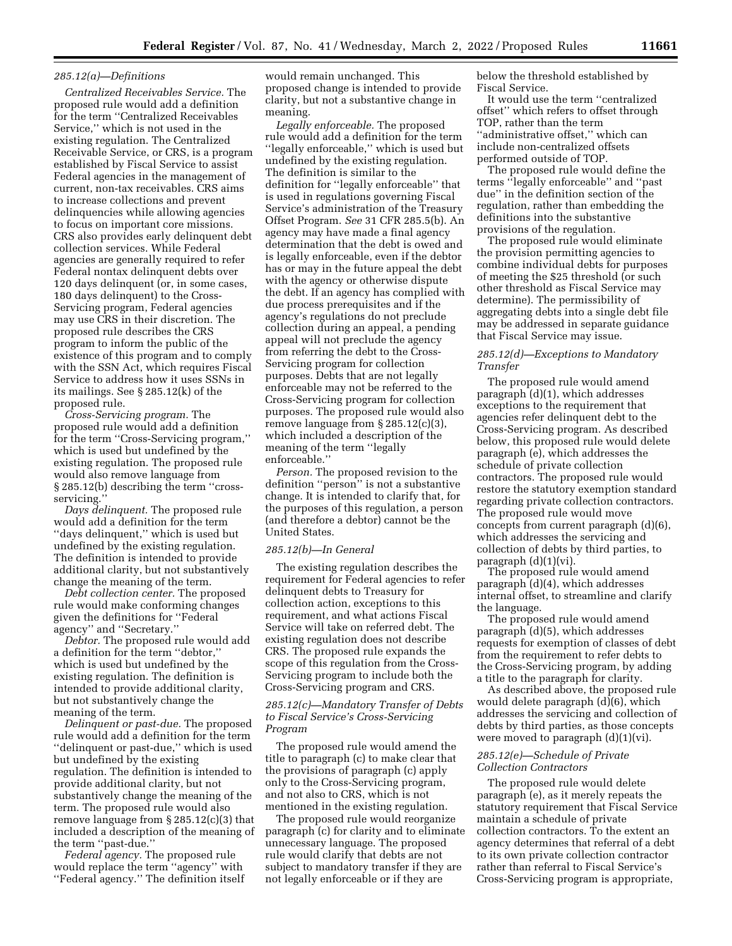# *285.12(a)—Definitions*

*Centralized Receivables Service.* The proposed rule would add a definition for the term ''Centralized Receivables Service,'' which is not used in the existing regulation. The Centralized Receivable Service, or CRS, is a program established by Fiscal Service to assist Federal agencies in the management of current, non-tax receivables. CRS aims to increase collections and prevent delinquencies while allowing agencies to focus on important core missions. CRS also provides early delinquent debt collection services. While Federal agencies are generally required to refer Federal nontax delinquent debts over 120 days delinquent (or, in some cases, 180 days delinquent) to the Cross-Servicing program, Federal agencies may use CRS in their discretion. The proposed rule describes the CRS program to inform the public of the existence of this program and to comply with the SSN Act, which requires Fiscal Service to address how it uses SSNs in its mailings. See § 285.12(k) of the proposed rule.

*Cross-Servicing program.* The proposed rule would add a definition for the term ''Cross-Servicing program,'' which is used but undefined by the existing regulation. The proposed rule would also remove language from § 285.12(b) describing the term "crossservicing.

*Days delinquent.* The proposed rule would add a definition for the term ''days delinquent,'' which is used but undefined by the existing regulation. The definition is intended to provide additional clarity, but not substantively change the meaning of the term.

*Debt collection center.* The proposed rule would make conforming changes given the definitions for ''Federal agency'' and ''Secretary.''

*Debtor.* The proposed rule would add a definition for the term ''debtor,'' which is used but undefined by the existing regulation. The definition is intended to provide additional clarity, but not substantively change the meaning of the term.

*Delinquent or past-due.* The proposed rule would add a definition for the term ''delinquent or past-due,'' which is used but undefined by the existing regulation. The definition is intended to provide additional clarity, but not substantively change the meaning of the term. The proposed rule would also remove language from § 285.12(c)(3) that included a description of the meaning of the term ''past-due.''

*Federal agency.* The proposed rule would replace the term ''agency'' with ''Federal agency.'' The definition itself would remain unchanged. This proposed change is intended to provide clarity, but not a substantive change in meaning.

*Legally enforceable.* The proposed rule would add a definition for the term ''legally enforceable,'' which is used but undefined by the existing regulation. The definition is similar to the definition for ''legally enforceable'' that is used in regulations governing Fiscal Service's administration of the Treasury Offset Program. *See* 31 CFR 285.5(b). An agency may have made a final agency determination that the debt is owed and is legally enforceable, even if the debtor has or may in the future appeal the debt with the agency or otherwise dispute the debt. If an agency has complied with due process prerequisites and if the agency's regulations do not preclude collection during an appeal, a pending appeal will not preclude the agency from referring the debt to the Cross-Servicing program for collection purposes. Debts that are not legally enforceable may not be referred to the Cross-Servicing program for collection purposes. The proposed rule would also remove language from § 285.12(c)(3), which included a description of the meaning of the term ''legally enforceable.''

*Person.* The proposed revision to the definition ''person'' is not a substantive change. It is intended to clarify that, for the purposes of this regulation, a person (and therefore a debtor) cannot be the United States.

# *285.12(b)—In General*

The existing regulation describes the requirement for Federal agencies to refer delinquent debts to Treasury for collection action, exceptions to this requirement, and what actions Fiscal Service will take on referred debt. The existing regulation does not describe CRS. The proposed rule expands the scope of this regulation from the Cross-Servicing program to include both the Cross-Servicing program and CRS.

# *285.12(c)—Mandatory Transfer of Debts to Fiscal Service's Cross-Servicing Program*

The proposed rule would amend the title to paragraph (c) to make clear that the provisions of paragraph (c) apply only to the Cross-Servicing program, and not also to CRS, which is not mentioned in the existing regulation.

The proposed rule would reorganize paragraph (c) for clarity and to eliminate unnecessary language. The proposed rule would clarify that debts are not subject to mandatory transfer if they are not legally enforceable or if they are

below the threshold established by Fiscal Service.

It would use the term ''centralized offset'' which refers to offset through TOP, rather than the term ''administrative offset,'' which can include non-centralized offsets performed outside of TOP.

The proposed rule would define the terms ''legally enforceable'' and ''past due'' in the definition section of the regulation, rather than embedding the definitions into the substantive provisions of the regulation.

The proposed rule would eliminate the provision permitting agencies to combine individual debts for purposes of meeting the \$25 threshold (or such other threshold as Fiscal Service may determine). The permissibility of aggregating debts into a single debt file may be addressed in separate guidance that Fiscal Service may issue.

# *285.12(d)—Exceptions to Mandatory Transfer*

The proposed rule would amend paragraph (d)(1), which addresses exceptions to the requirement that agencies refer delinquent debt to the Cross-Servicing program. As described below, this proposed rule would delete paragraph (e), which addresses the schedule of private collection contractors. The proposed rule would restore the statutory exemption standard regarding private collection contractors. The proposed rule would move concepts from current paragraph (d)(6), which addresses the servicing and collection of debts by third parties, to paragraph (d)(1)(vi).

The proposed rule would amend paragraph (d)(4), which addresses internal offset, to streamline and clarify the language.

The proposed rule would amend paragraph (d)(5), which addresses requests for exemption of classes of debt from the requirement to refer debts to the Cross-Servicing program, by adding a title to the paragraph for clarity.

As described above, the proposed rule would delete paragraph (d)(6), which addresses the servicing and collection of debts by third parties, as those concepts were moved to paragraph  $(d)(1)(vi)$ .

# *285.12(e)—Schedule of Private Collection Contractors*

The proposed rule would delete paragraph (e), as it merely repeats the statutory requirement that Fiscal Service maintain a schedule of private collection contractors. To the extent an agency determines that referral of a debt to its own private collection contractor rather than referral to Fiscal Service's Cross-Servicing program is appropriate,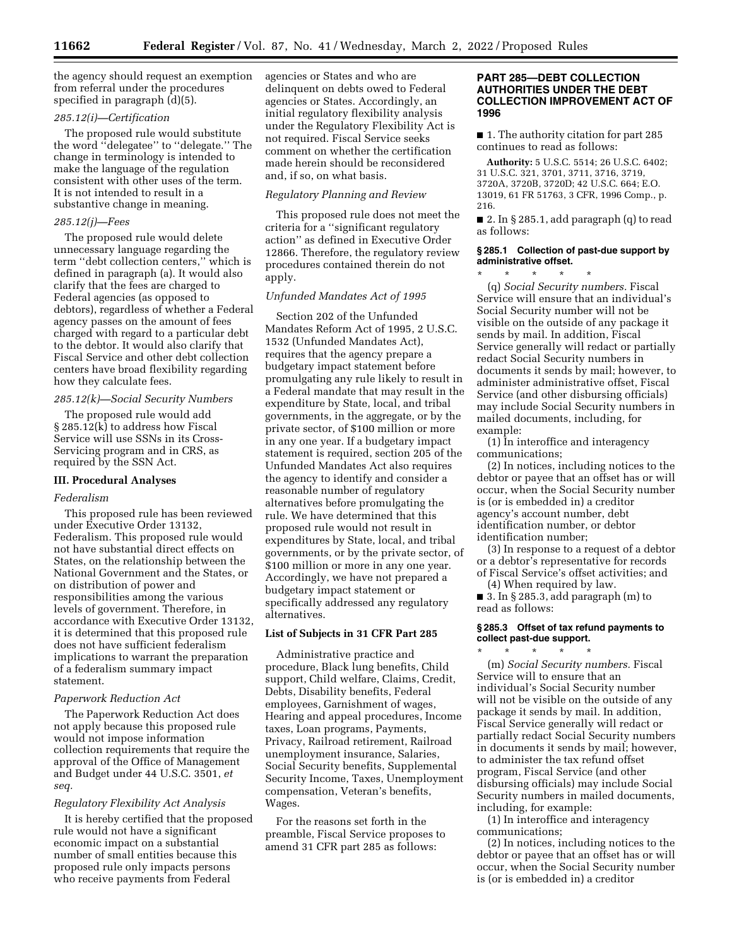the agency should request an exemption from referral under the procedures specified in paragraph (d)(5).

# *285.12(i)—Certification*

The proposed rule would substitute the word ''delegatee'' to ''delegate.'' The change in terminology is intended to make the language of the regulation consistent with other uses of the term. It is not intended to result in a substantive change in meaning.

#### *285.12(j)—Fees*

The proposed rule would delete unnecessary language regarding the term ''debt collection centers,'' which is defined in paragraph (a). It would also clarify that the fees are charged to Federal agencies (as opposed to debtors), regardless of whether a Federal agency passes on the amount of fees charged with regard to a particular debt to the debtor. It would also clarify that Fiscal Service and other debt collection centers have broad flexibility regarding how they calculate fees.

# *285.12(k)—Social Security Numbers*

The proposed rule would add § 285.12(k) to address how Fiscal Service will use SSNs in its Cross-Servicing program and in CRS, as required by the SSN Act.

## **III. Procedural Analyses**

#### *Federalism*

This proposed rule has been reviewed under Executive Order 13132, Federalism. This proposed rule would not have substantial direct effects on States, on the relationship between the National Government and the States, or on distribution of power and responsibilities among the various levels of government. Therefore, in accordance with Executive Order 13132, it is determined that this proposed rule does not have sufficient federalism implications to warrant the preparation of a federalism summary impact statement.

#### *Paperwork Reduction Act*

The Paperwork Reduction Act does not apply because this proposed rule would not impose information collection requirements that require the approval of the Office of Management and Budget under 44 U.S.C. 3501, *et seq.* 

#### *Regulatory Flexibility Act Analysis*

It is hereby certified that the proposed rule would not have a significant economic impact on a substantial number of small entities because this proposed rule only impacts persons who receive payments from Federal

agencies or States and who are delinquent on debts owed to Federal agencies or States. Accordingly, an initial regulatory flexibility analysis under the Regulatory Flexibility Act is not required. Fiscal Service seeks comment on whether the certification made herein should be reconsidered and, if so, on what basis.

# *Regulatory Planning and Review*

This proposed rule does not meet the criteria for a ''significant regulatory action'' as defined in Executive Order 12866. Therefore, the regulatory review procedures contained therein do not apply.

# *Unfunded Mandates Act of 1995*

Section 202 of the Unfunded Mandates Reform Act of 1995, 2 U.S.C. 1532 (Unfunded Mandates Act), requires that the agency prepare a budgetary impact statement before promulgating any rule likely to result in a Federal mandate that may result in the expenditure by State, local, and tribal governments, in the aggregate, or by the private sector, of \$100 million or more in any one year. If a budgetary impact statement is required, section 205 of the Unfunded Mandates Act also requires the agency to identify and consider a reasonable number of regulatory alternatives before promulgating the rule. We have determined that this proposed rule would not result in expenditures by State, local, and tribal governments, or by the private sector, of \$100 million or more in any one year. Accordingly, we have not prepared a budgetary impact statement or specifically addressed any regulatory alternatives.

# **List of Subjects in 31 CFR Part 285**

Administrative practice and procedure, Black lung benefits, Child support, Child welfare, Claims, Credit, Debts, Disability benefits, Federal employees, Garnishment of wages, Hearing and appeal procedures, Income taxes, Loan programs, Payments, Privacy, Railroad retirement, Railroad unemployment insurance, Salaries, Social Security benefits, Supplemental Security Income, Taxes, Unemployment compensation, Veteran's benefits, Wages.

For the reasons set forth in the preamble, Fiscal Service proposes to amend 31 CFR part 285 as follows:

# **PART 285—DEBT COLLECTION AUTHORITIES UNDER THE DEBT COLLECTION IMPROVEMENT ACT OF 1996**

■ 1. The authority citation for part 285 continues to read as follows:

**Authority:** 5 U.S.C. 5514; 26 U.S.C. 6402; 31 U.S.C. 321, 3701, 3711, 3716, 3719, 3720A, 3720B, 3720D; 42 U.S.C. 664; E.O. 13019, 61 FR 51763, 3 CFR, 1996 Comp., p. 216.

■ 2. In § 285.1, add paragraph (q) to read as follows:

# **§ 285.1 Collection of past-due support by administrative offset.**

\* \* \* \* \*

(q) *Social Security numbers.* Fiscal Service will ensure that an individual's Social Security number will not be visible on the outside of any package it sends by mail. In addition, Fiscal Service generally will redact or partially redact Social Security numbers in documents it sends by mail; however, to administer administrative offset, Fiscal Service (and other disbursing officials) may include Social Security numbers in mailed documents, including, for example:

(1) In interoffice and interagency communications;

(2) In notices, including notices to the debtor or payee that an offset has or will occur, when the Social Security number is (or is embedded in) a creditor agency's account number, debt identification number, or debtor identification number;

(3) In response to a request of a debtor or a debtor's representative for records of Fiscal Service's offset activities; and

(4) When required by law. ■ 3. In § 285.3, add paragraph  $(m)$  to read as follows:

# **§ 285.3 Offset of tax refund payments to collect past-due support.**

\* \* \* \* \* (m) *Social Security numbers.* Fiscal Service will to ensure that an individual's Social Security number will not be visible on the outside of any package it sends by mail. In addition, Fiscal Service generally will redact or partially redact Social Security numbers in documents it sends by mail; however, to administer the tax refund offset program, Fiscal Service (and other disbursing officials) may include Social Security numbers in mailed documents, including, for example:

(1) In interoffice and interagency communications;

(2) In notices, including notices to the debtor or payee that an offset has or will occur, when the Social Security number is (or is embedded in) a creditor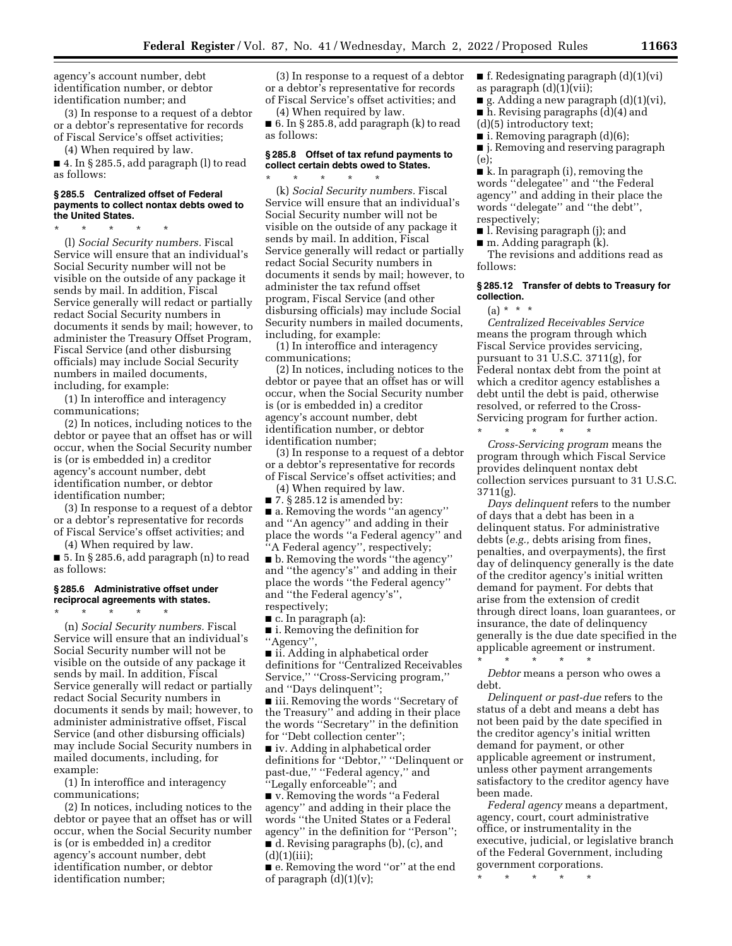agency's account number, debt identification number, or debtor identification number; and

(3) In response to a request of a debtor or a debtor's representative for records of Fiscal Service's offset activities;

(4) When required by law.

■ 4. In § 285.5, add paragraph (l) to read as follows:

#### **§ 285.5 Centralized offset of Federal payments to collect nontax debts owed to the United States.**

\* \* \* \* \* (l) *Social Security numbers.* Fiscal Service will ensure that an individual's Social Security number will not be visible on the outside of any package it sends by mail. In addition, Fiscal Service generally will redact or partially redact Social Security numbers in documents it sends by mail; however, to administer the Treasury Offset Program, Fiscal Service (and other disbursing officials) may include Social Security numbers in mailed documents, including, for example:

(1) In interoffice and interagency communications;

(2) In notices, including notices to the debtor or payee that an offset has or will occur, when the Social Security number is (or is embedded in) a creditor agency's account number, debt identification number, or debtor identification number;

(3) In response to a request of a debtor or a debtor's representative for records of Fiscal Service's offset activities; and

(4) When required by law.

■ 5. In § 285.6, add paragraph (n) to read as follows:

#### **§ 285.6 Administrative offset under reciprocal agreements with states.**  \* \* \* \* \*

(n) *Social Security numbers.* Fiscal Service will ensure that an individual's Social Security number will not be visible on the outside of any package it sends by mail. In addition, Fiscal Service generally will redact or partially redact Social Security numbers in documents it sends by mail; however, to administer administrative offset, Fiscal Service (and other disbursing officials) may include Social Security numbers in mailed documents, including, for example:

(1) In interoffice and interagency communications;

(2) In notices, including notices to the debtor or payee that an offset has or will occur, when the Social Security number is (or is embedded in) a creditor agency's account number, debt identification number, or debtor identification number;

(3) In response to a request of a debtor or a debtor's representative for records of Fiscal Service's offset activities; and

(4) When required by law.

■ 6. In § 285.8, add paragraph (k) to read as follows:

# **§ 285.8 Offset of tax refund payments to collect certain debts owed to States.**

\* \* \* \* \* (k) *Social Security numbers.* Fiscal Service will ensure that an individual's Social Security number will not be visible on the outside of any package it sends by mail. In addition, Fiscal Service generally will redact or partially redact Social Security numbers in documents it sends by mail; however, to administer the tax refund offset program, Fiscal Service (and other disbursing officials) may include Social Security numbers in mailed documents, including, for example:

(1) In interoffice and interagency communications;

(2) In notices, including notices to the debtor or payee that an offset has or will occur, when the Social Security number is (or is embedded in) a creditor agency's account number, debt identification number, or debtor identification number;

(3) In response to a request of a debtor or a debtor's representative for records of Fiscal Service's offset activities; and

(4) When required by law.

 $\blacksquare$  7. § 285.12 is amended by:

■ a. Removing the words "an agency" and ''An agency'' and adding in their place the words ''a Federal agency'' and ''A Federal agency'', respectively;

■ b. Removing the words ''the agency'' and ''the agency's'' and adding in their place the words ''the Federal agency'' and ''the Federal agency's'', respectively;

■ c. In paragraph (a):

■ i. Removing the definition for ''Agency'',

■ ii. Adding in alphabetical order definitions for ''Centralized Receivables Service,'' ''Cross-Servicing program,'' and ''Days delinquent'';

■ iii. Removing the words "Secretary of the Treasury'' and adding in their place the words ''Secretary'' in the definition for ''Debt collection center'';

■ iv. Adding in alphabetical order definitions for ''Debtor,'' ''Delinquent or past-due,'' ''Federal agency,'' and ''Legally enforceable''; and

■ v. Removing the words "a Federal agency'' and adding in their place the words ''the United States or a Federal agency'' in the definition for ''Person''; ■ d. Revising paragraphs (b), (c), and  $(d)(1)(iii);$ 

■ e. Removing the word "or" at the end of paragraph  $(d)(1)(v)$ ;

 $\blacksquare$  f. Redesignating paragraph  $(d)(1)(vi)$ as paragraph  $(d)(1)(vii)$ ;

g. Adding a new paragraph  $(d)(1)(vi)$ ,

■ h. Revising paragraphs (d)(4) and (d)(5) introductory text;

■ i. Removing paragraph (d)(6);

■ *j.* Removing and reserving paragraph (e);

■ k. In paragraph (i), removing the words ''delegatee'' and ''the Federal agency'' and adding in their place the words ''delegate'' and ''the debt'', respectively;

■ l. Revising paragraph (j); and

■ m. Adding paragraph (k).

The revisions and additions read as follows:

### **§ 285.12 Transfer of debts to Treasury for collection.**

 $(a) * * * *$ 

*Centralized Receivables Service*  means the program through which Fiscal Service provides servicing, pursuant to 31 U.S.C. 3711(g), for Federal nontax debt from the point at which a creditor agency establishes a debt until the debt is paid, otherwise resolved, or referred to the Cross-Servicing program for further action.

\* \* \* \* \* *Cross-Servicing program* means the program through which Fiscal Service provides delinquent nontax debt collection services pursuant to 31 U.S.C. 3711(g).

*Days delinquent* refers to the number of days that a debt has been in a delinquent status. For administrative debts (*e.g.,* debts arising from fines, penalties, and overpayments), the first day of delinquency generally is the date of the creditor agency's initial written demand for payment. For debts that arise from the extension of credit through direct loans, loan guarantees, or insurance, the date of delinquency generally is the due date specified in the applicable agreement or instrument. \* \* \* \* \*

*Debtor* means a person who owes a debt.

*Delinquent or past-due* refers to the status of a debt and means a debt has not been paid by the date specified in the creditor agency's initial written demand for payment, or other applicable agreement or instrument, unless other payment arrangements satisfactory to the creditor agency have been made.

*Federal agency* means a department, agency, court, court administrative office, or instrumentality in the executive, judicial, or legislative branch of the Federal Government, including government corporations.

\* \* \* \* \*